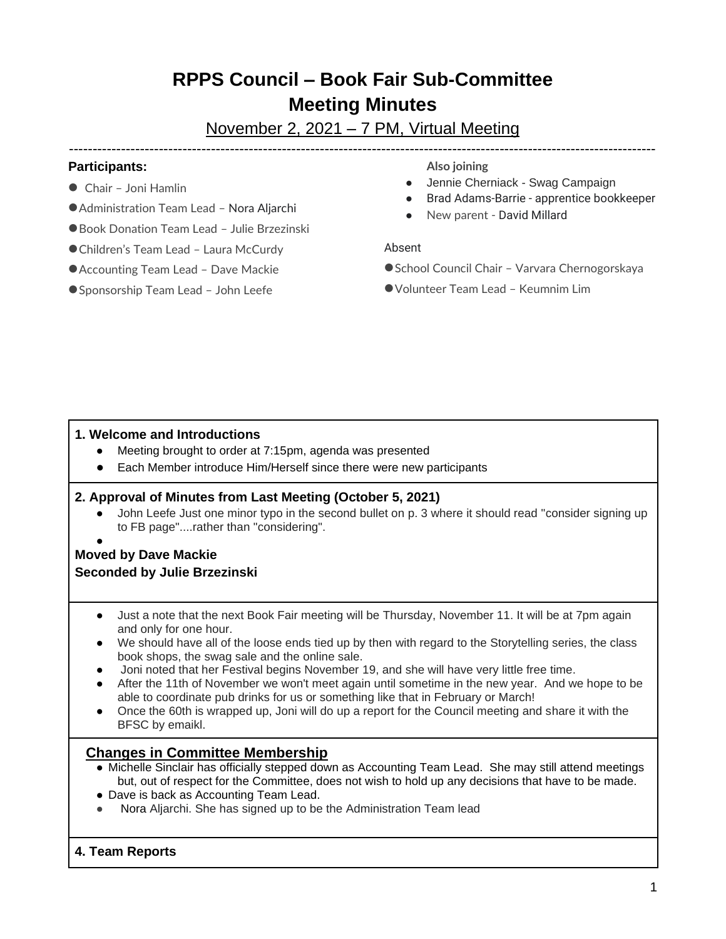# **RPPS Council – Book Fair Sub-Committee Meeting Minutes**

# November 2, 2021 – 7 PM, Virtual Meeting ----------------------------------------------------------------------------------------------------------------------------

## **Participants:**

- Chair Joni Hamlin
- Administration Team Lead Nora Aljarchi
- Book Donation Team Lead Julie Brzezinski
- Children's Team Lead Laura McCurdy
- Accounting Team Lead Dave Mackie
- Sponsorship Team Lead John Leefe

**Also joining**

- Jennie Cherniack Swag Campaign
- Brad Adams-Barrie apprentice bookkeeper
- New parent David Millard

#### Absent

- School Council Chair Varvara Chernogorskaya
- ●Volunteer Team Lead Keumnim Lim

# **1. Welcome and Introductions**

- Meeting brought to order at 7:15pm, agenda was presented
- Each Member introduce Him/Herself since there were new participants

# **2. Approval of Minutes from Last Meeting (October 5, 2021)**

- John Leefe Just one minor typo in the second bullet on p. 3 where it should read "consider signing up to FB page"....rather than "considering".
- ●

# **Moved by Dave Mackie Seconded by Julie Brzezinski**

- Just a note that the next Book Fair meeting will be Thursday, November 11. It will be at 7pm again and only for one hour.
- We should have all of the loose ends tied up by then with regard to the Storytelling series, the class book shops, the swag sale and the online sale.
- Joni noted that her Festival begins November 19, and she will have very little free time.
- After the 11th of November we won't meet again until sometime in the new year. And we hope to be able to coordinate pub drinks for us or something like that in February or March!
- Once the 60th is wrapped up, Joni will do up a report for the Council meeting and share it with the BFSC by emaikl.

# **Changes in Committee Membership**

- Michelle Sinclair has officially stepped down as Accounting Team Lead. She may still attend meetings but, out of respect for the Committee, does not wish to hold up any decisions that have to be made.
- Dave is back as Accounting Team Lead.
- Nora Aljarchi. She has signed up to be the Administration Team lead

#### **4. Team Reports**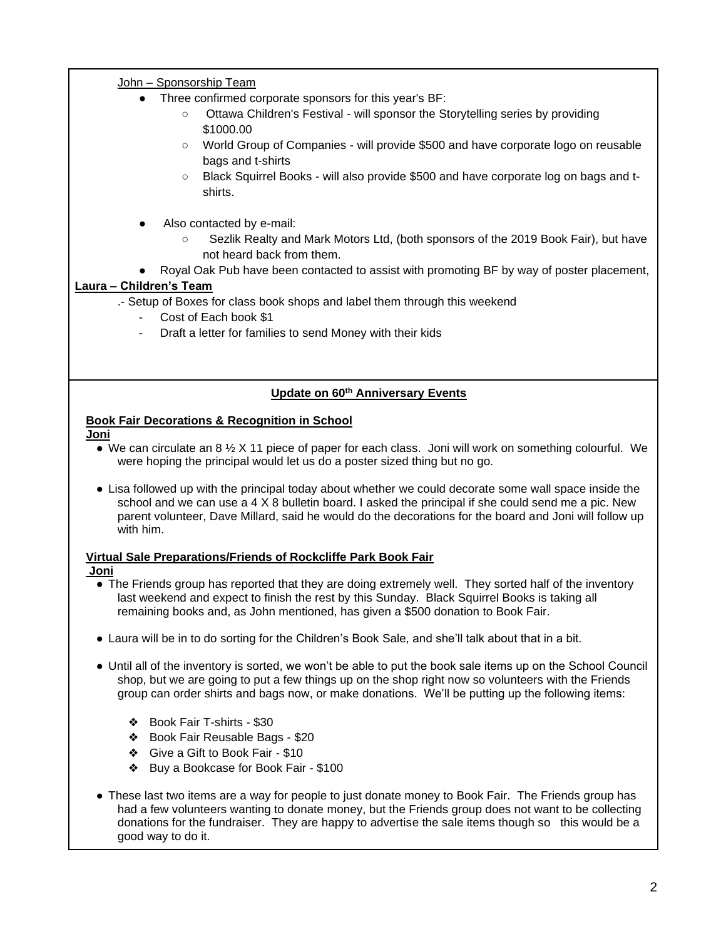#### John – Sponsorship Team

- Three confirmed corporate sponsors for this year's BF:
	- Ottawa Children's Festival will sponsor the Storytelling series by providing \$1000.00
	- World Group of Companies will provide \$500 and have corporate logo on reusable bags and t-shirts
	- Black Squirrel Books will also provide \$500 and have corporate log on bags and tshirts.
- Also contacted by e-mail:
	- Sezlik Realty and Mark Motors Ltd, (both sponsors of the 2019 Book Fair), but have not heard back from them.
- Royal Oak Pub have been contacted to assist with promoting BF by way of poster placement,

### **Laura – Children's Team**

- .- Setup of Boxes for class book shops and label them through this weekend
	- Cost of Each book \$1
	- Draft a letter for families to send Money with their kids

#### **Update on 60th Anniversary Events**

### **Book Fair Decorations & Recognition in School**

#### **Joni**

- We can circulate an 8  $\frac{1}{2}$  X 11 piece of paper for each class. Joni will work on something colourful. We were hoping the principal would let us do a poster sized thing but no go.
- Lisa followed up with the principal today about whether we could decorate some wall space inside the school and we can use a 4 X 8 bulletin board. I asked the principal if she could send me a pic. New parent volunteer, Dave Millard, said he would do the decorations for the board and Joni will follow up with him.

#### **Virtual Sale Preparations/Friends of Rockcliffe Park Book Fair**

#### **Joni**

- The Friends group has reported that they are doing extremely well. They sorted half of the inventory last weekend and expect to finish the rest by this Sunday. Black Squirrel Books is taking all remaining books and, as John mentioned, has given a \$500 donation to Book Fair.
- Laura will be in to do sorting for the Children's Book Sale, and she'll talk about that in a bit.
- Until all of the inventory is sorted, we won't be able to put the book sale items up on the School Council shop, but we are going to put a few things up on the shop right now so volunteers with the Friends group can order shirts and bags now, or make donations. We'll be putting up the following items:
	- ❖ Book Fair T-shirts \$30
	- ❖ Book Fair Reusable Bags \$20
	- ❖ Give a Gift to Book Fair \$10
	- ❖ Buy a Bookcase for Book Fair \$100
- These last two items are a way for people to just donate money to Book Fair. The Friends group has had a few volunteers wanting to donate money, but the Friends group does not want to be collecting donations for the fundraiser. They are happy to advertise the sale items though so this would be a good way to do it.